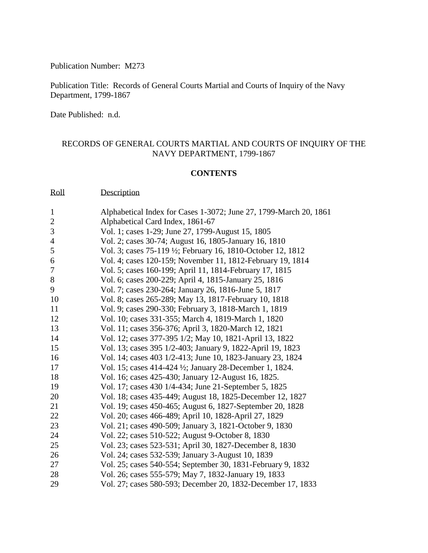Publication Number: M273

Publication Title: Records of General Courts Martial and Courts of Inquiry of the Navy Department, 1799-1867

Date Published: n.d.

## RECORDS OF GENERAL COURTS MARTIAL AND COURTS OF INQUIRY OF THE NAVY DEPARTMENT, 1799-1867

## **CONTENTS**

Roll Description

| $\mathbf{1}$   | Alphabetical Index for Cases 1-3072; June 27, 1799-March 20, 1861 |
|----------------|-------------------------------------------------------------------|
| $\sqrt{2}$     | Alphabetical Card Index, 1861-67                                  |
| 3              | Vol. 1; cases 1-29; June 27, 1799-August 15, 1805                 |
| $\overline{4}$ | Vol. 2; cases 30-74; August 16, 1805-January 16, 1810             |
| 5              | Vol. 3; cases 75-119 ½; February 16, 1810-October 12, 1812        |
| 6              | Vol. 4; cases 120-159; November 11, 1812-February 19, 1814        |
| $\tau$         | Vol. 5; cases 160-199; April 11, 1814-February 17, 1815           |
| 8              | Vol. 6; cases 200-229; April 4, 1815-January 25, 1816             |
| 9              | Vol. 7; cases 230-264; January 26, 1816-June 5, 1817              |
| 10             | Vol. 8; cases 265-289; May 13, 1817-February 10, 1818             |
| 11             | Vol. 9; cases 290-330; February 3, 1818-March 1, 1819             |
| 12             | Vol. 10; cases 331-355; March 4, 1819-March 1, 1820               |
| 13             | Vol. 11; cases 356-376; April 3, 1820-March 12, 1821              |
| 14             | Vol. 12; cases 377-395 1/2; May 10, 1821-April 13, 1822           |
| 15             | Vol. 13; cases 395 1/2-403; January 9, 1822-April 19, 1823        |
| 16             | Vol. 14; cases 403 1/2-413; June 10, 1823-January 23, 1824        |
| 17             | Vol. 15; cases 414-424 ½; January 28-December 1, 1824.            |
| 18             | Vol. 16; cases 425-430; January 12-August 16, 1825.               |
| 19             | Vol. 17; cases 430 1/4-434; June 21-September 5, 1825             |
| 20             | Vol. 18; cases 435-449; August 18, 1825-December 12, 1827         |
| 21             | Vol. 19; cases 450-465; August 6, 1827-September 20, 1828         |
| 22             | Vol. 20; cases 466-489; April 10, 1828-April 27, 1829             |
| 23             | Vol. 21; cases 490-509; January 3, 1821-October 9, 1830           |
| 24             | Vol. 22; cases 510-522; August 9-October 8, 1830                  |
| 25             | Vol. 23; cases 523-531; April 30, 1827-December 8, 1830           |
| 26             | Vol. 24; cases 532-539; January 3-August 10, 1839                 |
| 27             | Vol. 25; cases 540-554; September 30, 1831-February 9, 1832       |
| 28             | Vol. 26; cases 555-579; May 7, 1832-January 19, 1833              |
| 29             | Vol. 27; cases 580-593; December 20, 1832-December 17, 1833       |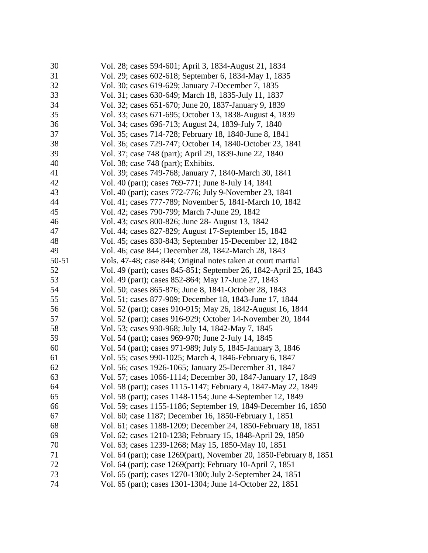| 30    | Vol. 28; cases 594-601; April 3, 1834-August 21, 1834               |
|-------|---------------------------------------------------------------------|
| 31    | Vol. 29; cases 602-618; September 6, 1834-May 1, 1835               |
| 32    | Vol. 30; cases 619-629; January 7-December 7, 1835                  |
| 33    | Vol. 31; cases 630-649; March 18, 1835-July 11, 1837                |
| 34    | Vol. 32; cases 651-670; June 20, 1837-January 9, 1839               |
| 35    | Vol. 33; cases 671-695; October 13, 1838-August 4, 1839             |
| 36    | Vol. 34; cases 696-713; August 24, 1839-July 7, 1840                |
| 37    | Vol. 35; cases 714-728; February 18, 1840-June 8, 1841              |
| 38    | Vol. 36; cases 729-747; October 14, 1840-October 23, 1841           |
| 39    | Vol. 37; case 748 (part); April 29, 1839-June 22, 1840              |
| 40    | Vol. 38; case 748 (part); Exhibits.                                 |
| 41    | Vol. 39; cases 749-768; January 7, 1840-March 30, 1841              |
| 42    | Vol. 40 (part); cases 769-771; June 8-July 14, 1841                 |
| 43    | Vol. 40 (part); cases 772-776; July 9-November 23, 1841             |
| 44    | Vol. 41; cases 777-789; November 5, 1841-March 10, 1842             |
| 45    | Vol. 42; cases 790-799; March 7-June 29, 1842                       |
| 46    | Vol. 43; cases 800-826; June 28- August 13, 1842                    |
| 47    | Vol. 44; cases 827-829; August 17-September 15, 1842                |
| 48    | Vol. 45; cases 830-843; September 15-December 12, 1842              |
| 49    | Vol. 46; case 844; December 28, 1842-March 28, 1843                 |
| 50-51 | Vols. 47-48; case 844; Original notes taken at court martial        |
| 52    | Vol. 49 (part); cases 845-851; September 26, 1842-April 25, 1843    |
| 53    | Vol. 49 (part); cases 852-864; May 17-June 27, 1843                 |
| 54    | Vol. 50; cases 865-876; June 8, 1841-October 28, 1843               |
| 55    | Vol. 51; cases 877-909; December 18, 1843-June 17, 1844             |
| 56    | Vol. 52 (part); cases 910-915; May 26, 1842-August 16, 1844         |
| 57    | Vol. 52 (part); cases 916-929; October 14-November 20, 1844         |
| 58    | Vol. 53; cases 930-968; July 14, 1842-May 7, 1845                   |
| 59    | Vol. 54 (part); cases 969-970; June 2-July 14, 1845                 |
| 60    | Vol. 54 (part); cases 971-989; July 5, 1845-January 3, 1846         |
| 61    | Vol. 55; cases 990-1025; March 4, 1846-February 6, 1847             |
| 62    | Vol. 56; cases 1926-1065; January 25-December 31, 1847              |
| 63    | Vol. 57; cases 1066-1114; December 30, 1847-January 17, 1849        |
| 64    | Vol. 58 (part); cases 1115-1147; February 4, 1847-May 22, 1849      |
| 65    | Vol. 58 (part); cases 1148-1154; June 4-September 12, 1849          |
| 66    | Vol. 59; cases 1155-1186; September 19, 1849-December 16, 1850      |
| 67    | Vol. 60; case 1187; December 16, 1850-February 1, 1851              |
| 68    | Vol. 61; cases 1188-1209; December 24, 1850-February 18, 1851       |
| 69    | Vol. 62; cases 1210-1238; February 15, 1848-April 29, 1850          |
| 70    | Vol. 63; cases 1239-1268; May 15, 1850-May 10, 1851                 |
| 71    | Vol. 64 (part); case 1269(part), November 20, 1850-February 8, 1851 |
| 72    | Vol. 64 (part); case 1269(part); February 10-April 7, 1851          |
| 73    | Vol. 65 (part); cases 1270-1300; July 2-September 24, 1851          |
| 74    | Vol. 65 (part); cases 1301-1304; June 14-October 22, 1851           |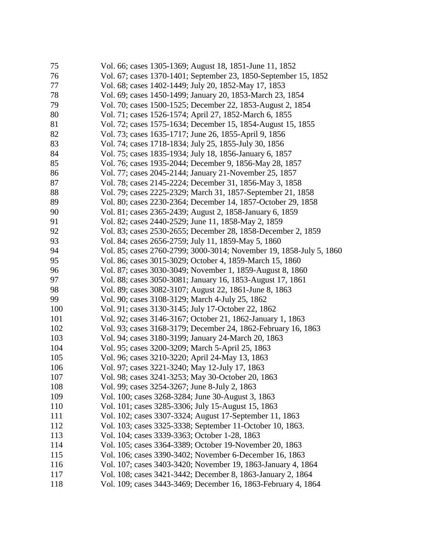| 75  | Vol. 66; cases 1305-1369; August 18, 1851-June 11, 1852             |
|-----|---------------------------------------------------------------------|
| 76  | Vol. 67; cases 1370-1401; September 23, 1850-September 15, 1852     |
| 77  | Vol. 68; cases 1402-1449; July 20, 1852-May 17, 1853                |
| 78  | Vol. 69; cases 1450-1499; January 20, 1853-March 23, 1854           |
| 79  | Vol. 70; cases 1500-1525; December 22, 1853-August 2, 1854          |
| 80  | Vol. 71; cases 1526-1574; April 27, 1852-March 6, 1855              |
| 81  | Vol. 72; cases 1575-1634; December 15, 1854-August 15, 1855         |
| 82  | Vol. 73; cases 1635-1717; June 26, 1855-April 9, 1856               |
| 83  | Vol. 74; cases 1718-1834; July 25, 1855-July 30, 1856               |
| 84  | Vol. 75; cases 1835-1934; July 18, 1856-January 6, 1857             |
| 85  | Vol. 76; cases 1935-2044; December 9, 1856-May 28, 1857             |
| 86  | Vol. 77; cases 2045-2144; January 21-November 25, 1857              |
| 87  | Vol. 78; cases 2145-2224; December 31, 1856-May 3, 1858             |
| 88  | Vol. 79; cases 2225-2329; March 31, 1857-September 21, 1858         |
| 89  | Vol. 80; cases 2230-2364; December 14, 1857-October 29, 1858        |
| 90  | Vol. 81; cases 2365-2439; August 2, 1858-January 6, 1859            |
| 91  | Vol. 82; cases 2440-2529; June 11, 1858-May 2, 1859                 |
| 92  | Vol. 83; cases 2530-2655; December 28, 1858-December 2, 1859        |
| 93  | Vol. 84; cases 2656-2759; July 11, 1859-May 5, 1860                 |
| 94  | Vol. 85; cases 2760-2799; 3000-3014; November 19, 1858-July 5, 1860 |
| 95  | Vol. 86; cases 3015-3029; October 4, 1859-March 15, 1860            |
| 96  | Vol. 87; cases 3030-3049; November 1, 1859-August 8, 1860           |
| 97  | Vol. 88; cases 3050-3081; January 16, 1853-August 17, 1861          |
| 98  | Vol. 89; cases 3082-3107; August 22, 1861-June 8, 1863              |
| 99  | Vol. 90; cases 3108-3129; March 4-July 25, 1862                     |
| 100 | Vol. 91; cases 3130-3145; July 17-October 22, 1862                  |
| 101 | Vol. 92; cases 3146-3167; October 21, 1862-January 1, 1863          |
| 102 | Vol. 93; cases 3168-3179; December 24, 1862-February 16, 1863       |
| 103 | Vol. 94; cases 3180-3199; January 24-March 20, 1863                 |
| 104 | Vol. 95; cases 3200-3209; March 5-April 25, 1863                    |
| 105 | Vol. 96; cases 3210-3220; April 24-May 13, 1863                     |
| 106 | Vol. 97; cases 3221-3240; May 12-July 17, 1863                      |
| 107 | Vol. 98; cases 3241-3253; May 30-October 20, 1863                   |
| 108 | Vol. 99; cases 3254-3267; June 8-July 2, 1863                       |
| 109 | Vol. 100; cases 3268-3284; June 30-August 3, 1863                   |
| 110 | Vol. 101; cases 3285-3306; July 15-August 15, 1863                  |
| 111 | Vol. 102; cases 3307-3324; August 17-September 11, 1863             |
| 112 | Vol. 103; cases 3325-3338; September 11-October 10, 1863.           |
| 113 | Vol. 104; cases 3339-3363; October 1-28, 1863                       |
| 114 | Vol. 105; cases 3364-3389; October 19-November 20, 1863             |
| 115 | Vol. 106; cases 3390-3402; November 6-December 16, 1863             |
| 116 | Vol. 107; cases 3403-3420; November 19, 1863-January 4, 1864        |
| 117 | Vol. 108; cases 3421-3442; December 8, 1863-January 2, 1864         |
| 118 | Vol. 109; cases 3443-3469; December 16, 1863-February 4, 1864       |
|     |                                                                     |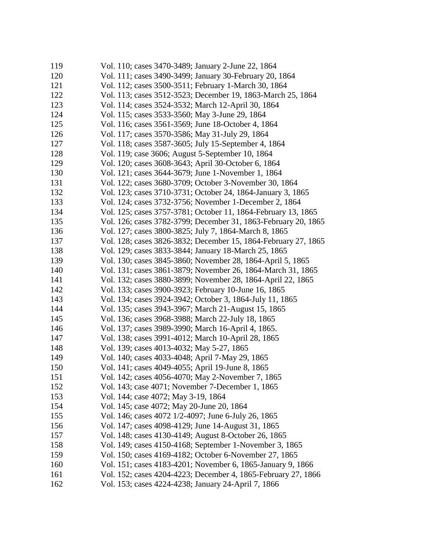| 119 | Vol. 110; cases 3470-3489; January 2-June 22, 1864             |
|-----|----------------------------------------------------------------|
| 120 | Vol. 111; cases 3490-3499; January 30-February 20, 1864        |
| 121 | Vol. 112; cases 3500-3511; February 1-March 30, 1864           |
| 122 | Vol. 113; cases 3512-3523; December 19, 1863-March 25, 1864    |
| 123 | Vol. 114; cases 3524-3532; March 12-April 30, 1864             |
| 124 | Vol. 115; cases 3533-3560; May 3-June 29, 1864                 |
| 125 | Vol. 116; cases 3561-3569; June 18-October 4, 1864             |
| 126 | Vol. 117; cases 3570-3586; May 31-July 29, 1864                |
| 127 | Vol. 118; cases 3587-3605; July 15-September 4, 1864           |
| 128 | Vol. 119; case 3606; August 5-September 10, 1864               |
| 129 | Vol. 120; cases 3608-3643; April 30-October 6, 1864            |
| 130 | Vol. 121; cases 3644-3679; June 1-November 1, 1864             |
| 131 | Vol. 122; cases 3680-3709; October 3-November 30, 1864         |
| 132 | Vol. 123; cases 3710-3731; October 24, 1864-January 3, 1865    |
| 133 | Vol. 124; cases 3732-3756; November 1-December 2, 1864         |
| 134 | Vol. 125; cases 3757-3781; October 11, 1864-February 13, 1865  |
| 135 | Vol. 126; cases 3782-3799; December 31, 1863-February 20, 1865 |
| 136 | Vol. 127; cases 3800-3825; July 7, 1864-March 8, 1865          |
| 137 | Vol. 128; cases 3826-3832; December 15, 1864-February 27, 1865 |
| 138 | Vol. 129; cases 3833-3844; January 18-March 25, 1865           |
| 139 | Vol. 130; cases 3845-3860; November 28, 1864-April 5, 1865     |
| 140 | Vol. 131; cases 3861-3879; November 26, 1864-March 31, 1865    |
| 141 | Vol. 132; cases 3880-3899; November 28, 1864-April 22, 1865    |
| 142 | Vol. 133; cases 3900-3923; February 10-June 16, 1865           |
| 143 | Vol. 134; cases 3924-3942; October 3, 1864-July 11, 1865       |
| 144 | Vol. 135; cases 3943-3967; March 21-August 15, 1865            |
| 145 | Vol. 136; cases 3968-3988; March 22-July 18, 1865              |
| 146 | Vol. 137; cases 3989-3990; March 16-April 4, 1865.             |
| 147 | Vol. 138; cases 3991-4012; March 10-April 28, 1865             |
| 148 | Vol. 139; cases 4013-4032; May 5-27, 1865                      |
| 149 | Vol. 140; cases 4033-4048; April 7-May 29, 1865                |
| 150 | Vol. 141; cases 4049-4055; April 19-June 8, 1865               |
| 151 | Vol. 142; cases 4056-4070; May 2-November 7, 1865              |
| 152 | Vol. 143; case 4071; November 7-December 1, 1865               |
| 153 | Vol. 144; case 4072; May 3-19, 1864                            |
| 154 | Vol. 145; case 4072; May 20-June 20, 1864                      |
| 155 | Vol. 146; cases 4072 1/2-4097; June 6-July 26, 1865            |
| 156 | Vol. 147; cases 4098-4129; June 14-August 31, 1865             |
| 157 | Vol. 148; cases 4130-4149; August 8-October 26, 1865           |
| 158 | Vol. 149; cases 4150-4168; September 1-November 3, 1865        |
| 159 | Vol. 150; cases 4169-4182; October 6-November 27, 1865         |
| 160 | Vol. 151; cases 4183-4201; November 6, 1865-January 9, 1866    |
| 161 | Vol. 152; cases 4204-4223; December 4, 1865-February 27, 1866  |
| 162 | Vol. 153; cases 4224-4238; January 24-April 7, 1866            |
|     |                                                                |